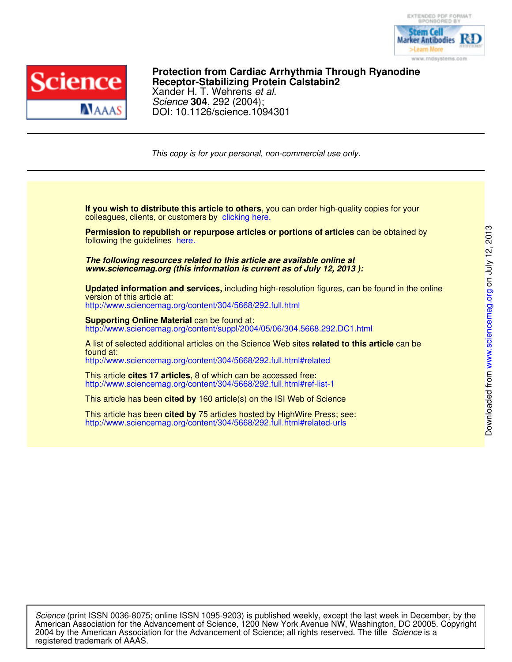



DOI: 10.1126/science.1094301 Science **304**, 292 (2004); Xander H. T. Wehrens et al. **Receptor-Stabilizing Protein Calstabin2 Protection from Cardiac Arrhythmia Through Ryanodine**

This copy is for your personal, non-commercial use only.

colleagues, clients, or customers by clicking here. **If you wish to distribute this article to others**, you can order high-quality copies for your

following the guidelines here. **Permission to republish or repurpose articles or portions of articles** can be obtained by

*www.sciencemag.org (this information is current as of July 12, 2013 ): The following resources related to this article are available online at*

http://www.sciencemag.org/content/304/5668/292.full.html version of this article at: **Updated information and services,** including high-resolution figures, can be found in the online

http://www.sciencemag.org/content/suppl/2004/05/06/304.5668.292.DC1.html **Supporting Online Material can be found at:** 

http://www.sciencemag.org/content/304/5668/292.full.html#related found at: A list of selected additional articles on the Science Web sites **related to this article** can be

http://www.sciencemag.org/content/304/5668/292.full.html#ref-list-1 This article **cites 17 articles**, 8 of which can be accessed free:

This article has been **cited by** 160 article(s) on the ISI Web of Science

http://www.sciencemag.org/content/304/5668/292.full.html#related-urls This article has been **cited by** 75 articles hosted by HighWire Press; see:

registered trademark of AAAS. 2004 by the American Association for the Advancement of Science; all rights reserved. The title Science is a American Association for the Advancement of Science, 1200 New York Avenue NW, Washington, DC 20005. Copyright Science (print ISSN 0036-8075; online ISSN 1095-9203) is published weekly, except the last week in December, by the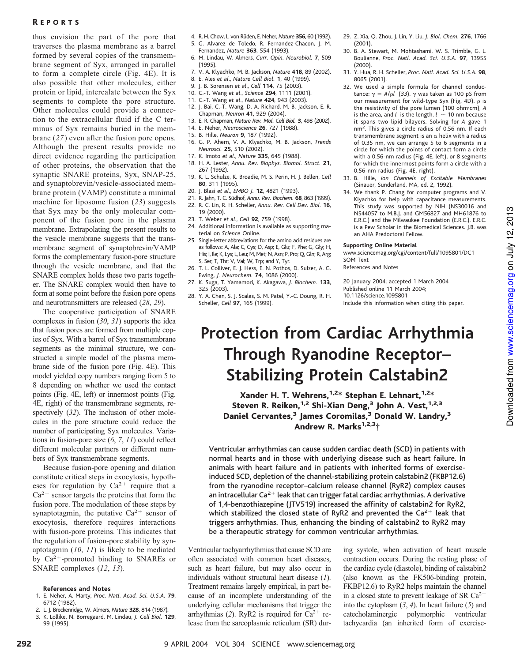thus envision the part of the pore that traverses the plasma membrane as a barrel formed by several copies of the transmembrane segment of Syx, arranged in parallel to form a complete circle (Fig. 4E). It is also possible that other molecules, either protein or lipid, intercalate between the Syx segments to complete the pore structure. Other molecules could provide a connection to the extracellular fluid if the C terminus of Syx remains buried in the membrane (*27*) even after the fusion pore opens. Although the present results provide no direct evidence regarding the participation of other proteins, the observation that the synaptic SNARE proteins, Syx, SNAP-25, and synaptobrevin/vesicle-associated membrane protein (VAMP) constitute a minimal machine for liposome fusion (*23*) suggests that Syx may be the only molecular component of the fusion pore in the plasma membrane. Extrapolating the present results to the vesicle membrane suggests that the transmembrane segment of synaptobrevin/VAMP forms the complementary fusion-pore structure through the vesicle membrane, and that the SNARE complex holds these two parts together. The SNARE complex would then have to form at some point before the fusion pore opens and neurotransmitters are released (*28*, *29*).

The cooperative participation of SNARE complexes in fusion (*30*, *31*) supports the idea that fusion pores are formed from multiple copies of Syx. With a barrel of Syx transmembrane segments as the minimal structure, we constructed a simple model of the plasma membrane side of the fusion pore (Fig. 4E). This model yielded copy numbers ranging from 5 to 8 depending on whether we used the contact points (Fig. 4E, left) or innermost points (Fig. 4E, right) of the transmembrane segments, respectively (*32*). The inclusion of other molecules in the pore structure could reduce the number of participating Syx molecules. Variations in fusion-pore size (*6*, *7*, *11*) could reflect different molecular partners or different numbers of Syx transmembrane segments.

Because fusion-pore opening and dilation constitute critical steps in exocytosis, hypotheses for regulation by  $Ca^{2+}$  require that a  $Ca<sup>2+</sup>$  sensor targets the proteins that form the fusion pore. The modulation of these steps by synaptotagmin, the putative  $Ca^{2+}$  sensor of exocytosis, therefore requires interactions with fusion-pore proteins. This indicates that the regulation of fusion-pore stability by synaptotagmin (*10*, *11*) is likely to be mediated by  $Ca^{2+}$ -promoted binding to SNAREs or SNARE complexes (*12*, *13*).

# **References and Notes**

- 1. E. Neher, A. Marty, *Proc. Natl. Acad. Sci. U.S.A.* **79**, 6712 (1982).
- 2. L. J. Breckenridge, W. Almers, *Nature* **328**, 814 (1987).
- 3. K. Lollike, N. Borregaard, M. Lindau, *J. Cell Biol.* **129**, 99 (1995).
- 4. R. H. Chow, L. von Ru¨den, E. Neher, *Nature* **356**, 60 (1992).
- 5. G. Alvarez de Toledo, R. Fernandez-Chacon, J. M. Fernandez, *Nature* **363**, 554 (1993).
- 6. M. Lindau, W. Almers, *Curr. Opin. Neurobiol.* **7**, 509 (1995).
- 7. V. A. Klyachko, M. B. Jackson, *Nature* **418**, 89 (2002).
- 8. E. Ales *et al*., *Nature Cell Biol.* **1**, 40 (1999).
- 9. J. B. Sorensen *et al*., *Cell* **114**, 75 (2003).
- 10. C.-T. Wang *et al*., *Science* **294**, 1111 (2001).
- 11. C.-T. Wang *et al*., *Nature* **424**, 943 (2003).
- 12. J. Bai, C.-T. Wang, D. A. Richard, M. B. Jackson, E. R.
- Chapman, *Neuron* **41**, 929 (2004). 13. E. R. Chapman, *Nature Rev. Mol. Cell Biol.* **3**, 498 (2002).
- 14. E. Neher, *Neuroscience* **26**, 727 (1988).
- 15. B. Hille, *Neuron* **9**, 187 (1992).
- 16. G. P. Ahern, V. A. Klyachko, M. B. Jackson, *Trends Neurosci.* **25**, 510 (2002).
- 17. K. Imoto *et al*., *Nature* **335**, 645 (1988).
- 18. H. A. Lester, *Annu. Rev. Biophys. Biomol. Struct.* **21**, 267 (1992).
- 19. K. L. Schulze, K. Broadie, M. S. Perin, H. J. Bellen, *Cell* **80**, 311 (1995).
- 20. J. Blasi *et al*., *EMBO J.* **12**, 4821 (1993).
- 21. R. Jahn, T. C. Südhof, *Annu. Rev. Biochem.* **68**, 863 (1999). 22. R. C. Lin, R. H. Scheller, *Annu. Rev. Cell Dev. Biol.* **16**,
- 19 (2000).
- 23. T. Weber *et al*., *Cell* **92**, 759 (1998).
- 24. Additional information is available as supporting material on *Science* Online.
- 25. Single-letter abbreviations for the amino acid residues are as follows: A, Ala; C, Cys; D, Asp; E, Glu; F, Phe; G, Gly; H, His; I, Ile; K, Lys; L, Leu; M, Met; N, Asn; P, Pro; Q, Gln; R, Arg; S, Ser; T, Thr; V, Val; W, Trp; and Y, Tyr.
- 26. T. L. Colliver, E. J. Hess, E. N. Pothos, D. Sulzer, A. G. Ewing, *J. Neurochem.* **74**, 1086 (2000).
- 27. K. Suga, T. Yamamori, K. Akagawa, *J. Biochem.* **133**, 325 (2003).
- 28. Y. A. Chen, S. J. Scales, S. M. Patel, Y.-C. Doung, R. H. Scheller, *Cell* **97**, 165 (1999).
- 29. Z. Xia, Q. Zhou, J. Lin, Y. Liu, *J. Biol. Chem.* **276**, 1766 (2001).
- 30. B. A. Stewart, M. Mohtashami, W. S. Trimble, G. L. Boulianne, *Proc. Natl. Acad. Sci. U.S.A.* **97**, 13955 (2000).
- 31. Y. Hua, R. H. Scheller, *Proc. Natl. Acad. Sci. U.S.A.* **98**, 8065 (2001).
- 32. We used a simple formula for channel conductance:  $\gamma = A/\rho l$  (33).  $\gamma$  was taken as 100 pS from our measurement for wild-type Syx (Fig. 4D).  $\rho$  is the resistivity of the pore lumen (100 ohmcm), *A* is the area, and  $l$  is the length.  $l \sim 10$  nm because it spans two lipid bilayers. Solving for *A* gave 1 nm<sup>2</sup>. This gives a circle radius of 0.56 nm. If each transmembrane segment is an  $\alpha$  helix with a radius of 0.35 nm, we can arrange 5 to 6 segments in a circle for which the points of contact form a circle with a 0.56-nm radius (Fig. 4E, left), or 8 segments for which the innermost points form a circle with a 0.56-nm radius (Fig. 4E, right).
- 33. B. Hille, *Ion Channels of Excitable Membranes* (Sinauer, Sunderland, MA, ed. 2, 1992).
- 34. We thank P. Chang for computer programs and V. Klyachko for help with capacitance measurements. This study was supported by NIH (NS30016 and NS44057 to M.B.J. and GM56827 and MH61876 to E.R.C.) and the Milwaukee Foundation (E.R.C.). E.R.C. is a Pew Scholar in the Biomedical Sciences. J.B. was an AHA Predoctoral Fellow.

### **Supporting Online Material**

www.sciencemag.org/cgi/content/full/1095801/DC1 SOM Text

References and Notes

20 January 2004; accepted 1 March 2004 Published online 11 March 2004; 10.1126/science.1095801 Include this information when citing this paper.

# **Protection from Cardiac Arrhythmia Through Ryanodine Receptor– Stabilizing Protein Calstabin2**

Xander H. T. Wehrens,  $1.2*$  Stephan E. Lehnart,  $1.2*$ Steven R. Reiken,<sup>1,2</sup> Shi-Xian Deng,<sup>3</sup> John A. Vest,<sup>1,2,3</sup> Daniel Cervantes,<sup>3</sup> James Coromilas,<sup>3</sup> Donald W. Landry,<sup>3</sup> Andrew R. Marks $1,2,3+$ 

Ventricular arrhythmias can cause sudden cardiac death (SCD) in patients with normal hearts and in those with underlying disease such as heart failure. In animals with heart failure and in patients with inherited forms of exerciseinduced SCD, depletion of the channel-stabilizing protein calstabin2 (FKBP12.6) from the ryanodine receptor–calcium release channel (RyR2) complex causes an intracellular Ca<sup>2+</sup> leak that can trigger fatal cardiac arrhythmias. A derivative of 1,4-benzothiazepine (JTV519) increased the affinity of calstabin2 for RyR2, which stabilized the closed state of RyR2 and prevented the  $Ca^{2+}$  leak that triggers arrhythmias. Thus, enhancing the binding of calstabin2 to RyR2 may be a therapeutic strategy for common ventricular arrhythmias.

Ventricular tachyarrhythmias that cause SCD are often associated with common heart diseases, such as heart failure, but may also occur in individuals without structural heart disease (*1*). Treatment remains largely empirical, in part because of an incomplete understanding of the underlying cellular mechanisms that trigger the arrhythmias (2). RyR2 is required for  $Ca^{2+}$  release from the sarcoplasmic reticulum (SR) during systole, when activation of heart muscle contraction occurs. During the resting phase of the cardiac cycle (diastole), binding of calstabin2 (also known as the FK506-binding protein, FKBP12.6) to RyR2 helps maintain the channel in a closed state to prevent leakage of SR  $Ca^{2+}$ into the cytoplasm (*3*, *4*). In heart failure (*5*) and catecholaminergic polymorphic ventricular tachycardia (an inherited form of exercise-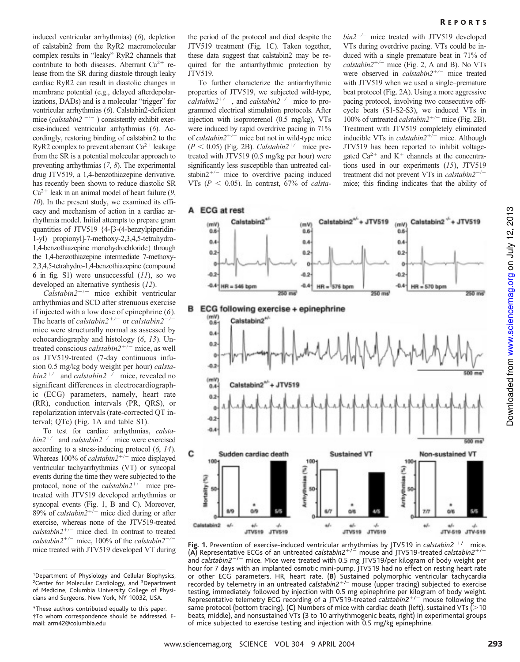induced ventricular arrhythmias) (*6*), depletion of calstabin2 from the RyR2 macromolecular complex results in "leaky" RyR2 channels that contribute to both diseases. Aberrant  $Ca^{2+}$  release from the SR during diastole through leaky cardiac RyR2 can result in diastolic changes in membrane potential (e.g., delayed afterdepolarizations, DADs) and is a molecular "trigger" for ventricular arrhythmias (*6*). Calstabin2-deficient mice (*calstabin2*  $-/-$  ) consistently exhibit exercise-induced ventricular arrhythmias (*6*). Accordingly, restoring binding of calstabin2 to the RyR2 complex to prevent aberrant  $Ca^{2+}$  leakage from the SR is a potential molecular approach to preventing arrhythmias (*7*, *8*). The experimental drug JTV519, a 1,4-benzothiazepine derivative, has recently been shown to reduce diastolic SR  $Ca^{2+}$  leak in an animal model of heart failure (9, *10*). In the present study, we examined its efficacy and mechanism of action in a cardiac arrhythmia model. Initial attempts to prepare gram quantities of JTV519 {4-[3-(4-benzylpiperidin-1-yl) propionyl]-7-methoxy-2,3,4,5-tetrahydro-1,4-benzothiazepine monohydrochloride} through the 1,4-benzothiazepine intermediate 7-methoxy-2,3,4,5-tetrahydro-1,4-benzothiazepine (compound **6** in fig. S1) were unsuccessful (*11*), so we developed an alternative synthesis (*12*).

*Calstabin2<sup>-/-</sup>* mice exhibit ventricular arrhythmias and SCD after strenuous exercise if injected with a low dose of epinephrine (*6*). The hearts of *calstabin2<sup>+/-</sup>* or *calstabin2<sup>-/</sup>* mice were structurally normal as assessed by echocardiography and histology (*6*, *13*). Untreated conscious *calstabin2*<sup>+/-</sup> mice, as well as JTV519-treated (7-day continuous infusion 0.5 mg/kg body weight per hour) *calstabin2<sup>+/-</sup>* and *calstabin2<sup>-/-</sup> mice*, revealed no significant differences in electrocardiographic (ECG) parameters, namely, heart rate (RR), conduction intervals (PR, QRS), or repolarization intervals (rate-corrected QT interval; QTc) (Fig. 1A and table S1).

To test for cardiac arrhythmias, *calstabin2<sup>+/-</sup>* and *calstabin2<sup>-/-</sup> mice were exercised* according to a stress-inducing protocol (*6*, *14*). Whereas 100% of *calstabin2<sup>+/-</sup>* mice displayed ventricular tachyarrhythmias (VT) or syncopal events during the time they were subjected to the protocol, none of the *calstabin2*<sup>+/-</sup> mice pretreated with JTV519 developed arrhythmias or syncopal events (Fig. 1, B and C). Moreover, 89% of *calstabin2<sup>+/-</sup>* mice died during or after exercise, whereas none of the JTV519-treated  $calation2^{+/-}$  mice died. In contrast to treated *calstabin2<sup>+/-</sup>* mice, 100% of the *calstabin2<sup>-/</sup>* mice treated with JTV519 developed VT during

the period of the protocol and died despite the JTV519 treatment (Fig. 1C). Taken together, these data suggest that calstabin2 may be required for the antiarrhythmic protection by JTV519.

To further characterize the antiarrhythmic properties of JTV519, we subjected wild-type, *calstabin2/* , and *calstabin2/* mice to programmed electrical stimulation protocols. After injection with isoproterenol (0.5 mg/kg), VTs were induced by rapid overdrive pacing in 71% of *calstabin2<sup>+/-</sup>* mice but not in wild-type mice  $(P < 0.05)$  (Fig. 2B). *Calstabin2<sup>+/-</sup>* mice pretreated with JTV519 (0.5 mg/kg per hour) were significantly less susceptible than untreated calstabin $2^{+/-}$  mice to overdrive pacing–induced VTs ( $P < 0.05$ ). In contrast, 67% of *calsta*- *bin2/* mice treated with JTV519 developed VTs during overdrive pacing. VTs could be induced with a single premature beat in 71% of *calstabin2<sup>+/-</sup>* mice (Fig. 2, A and B). No VTs were observed in *calstabin2<sup>+/-</sup>* mice treated with JTV519 when we used a single–premature beat protocol (Fig. 2A). Using a more aggressive pacing protocol, involving two consecutive offcycle beats (S1-S2-S3), we induced VTs in 100% of untreated *calstabin2<sup>+/-</sup>* mice (Fig. 2B). Treatment with JTV519 completely eliminated inducible VTs in *calstabin2<sup>+/-</sup>* mice. Although JTV519 has been reported to inhibit voltagegated  $Ca^{2+}$  and  $K^+$  channels at the concentrations used in our experiments (*15*), JTV519 treatment did not prevent VTs in *calstabin2<sup>-/-</sup>* mice; this finding indicates that the ability of



**Fig. 1.** Prevention of exercise-induced ventricular arrhythmias by JTV519 in *calstabin2* <sup>+/-</sup> mice. (A) Representative ECGs of an untreated *calstabin2<sup>+/ -</sup>* mouse and JTV519-treated *calstabin2<sup>+/</sup>* and calstabin2<sup>-/-</sup> mice. Mice were treated with 0.5 mg JTV519/per kilogram of body weight per hour for 7 days with an implanted osmotic mini-pump. JTV519 had no effect on resting heart rate or other ECG parameters. HR, heart rate. (**B**) Sustained polymorphic ventricular tachycardia recorded by telemetry in an untreated *calstabin2<sup>+/-</sup>* mouse (upper tracing) subjected to exercise testing, immediately followed by injection with 0.5 mg epinephrine per kilogram of body weight. Representative telemetry ECG recording of a JTV519-treated *calstabin2*/ mouse following the same protocol (bottom tracing). (C) Numbers of mice with cardiac death (left), sustained VTs  $\zeta$  > 10 beats, middle), and nonsustained VTs (3 to 10 arrhythmogenic beats, right) in experimental groups of mice subjected to exercise testing and injection with 0.5 mg/kg epinephrine.

<sup>1</sup>Department of Physiology and Cellular Biophysics, <sup>2</sup>Center for Molecular Cardiology, and <sup>3</sup>Department of Medicine, Columbia University College of Physicians and Surgeons, New York, NY 10032, USA.

<sup>\*</sup>These authors contributed equally to this paper. †To whomcorrespondence should be addressed. Email: arm42@columbia.edu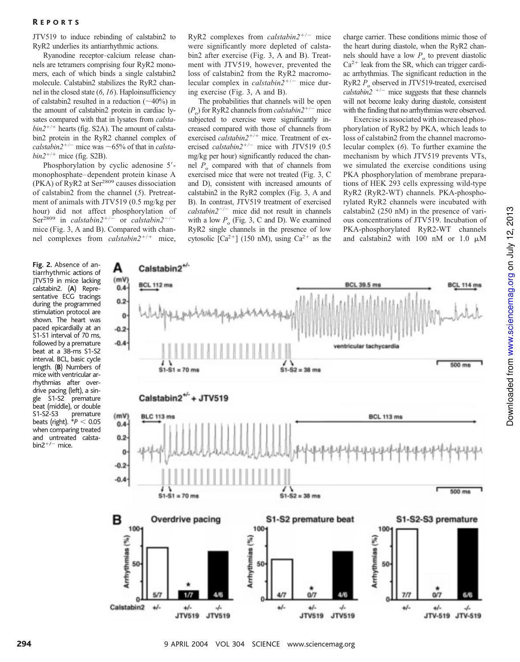# R EPORTS

JTV519 to induce rebinding of calstabin2 to RyR2 underlies its antiarrhythmic actions.

Ryanodine receptor–calcium release channels are tetramers comprising four RyR2 monomers, each of which binds a single calstabin2 molecule. Calstabin2 stabilizes the RyR2 channel in the closed state (*6*, *16*). Haploinsufficiency of calstabin2 resulted in a reduction  $(\sim 40\%)$  in the amount of calstabin2 protein in cardiac lysates compared with that in lysates from *calsta* $bin2^{+/+}$  hearts (fig. S2A). The amount of calstabin2 protein in the RyR2 channel complex of *calstabin2*<sup>+/-</sup> mice was  $\sim$  65% of that in *calsta* $bin2^{+/+}$  mice (fig. S2B).

Phosphorylation by cyclic adenosine 5 monophosphate–dependent protein kinase A (PKA) of RyR2 at Ser<sup>2809</sup> causes dissociation of calstabin2 from the channel (*5*). Pretreatment of animals with JTV519 (0.5 mg/kg per hour) did not affect phosphorylation of Ser<sup>2809</sup> in *calstabin2*<sup>+/-</sup> or *calstabin2*<sup>-/-</sup> mice (Fig. 3, A and B). Compared with channel complexes from *calstabin2<sup>+/+</sup>* mice,

A

(mV

 $0.4$  $0.2$ ö  $-0.2$  $-0.4$ 

 $(mV)$ 

 $0.4$  $0.2$ 0  $-0.2$  $-0.4$ 

в

 $100-$ 

50

 $\Omega$ Calstabin2

 $+1$ 

 $+/-$ 

**JTV519** 

-1-

**JTV519** 

Arrhythmias (%)

Calstabin2<sup>+/-</sup>

**BCL 112 ms** 

**Fig.2.** Absence of antiarrhythmic actions of JTV519 in mice lacking calstabin2. (**A**) Representative ECG tracings during the programmed stimulation protocol are shown. The heart was paced epicardially at an S1-S1 interval of 70 ms, followed by a premature beat at a 38-ms S1-S2 interval. BCL, basic cycle length. (**B**) Numbers of mice with ventricular arrhythmias after overdrive pacing (left), a single S1-S2 premature beat (middle), or double S1-S2-S3 premature beats (right).  $*P < 0.05$ when comparing treated and untreated calstabin2 $+/-$  mice.

RyR2 complexes from *calstabin2<sup>+/-</sup>* mice were significantly more depleted of calstabin2 after exercise (Fig. 3, A and B). Treatment with JTV519, however, prevented the loss of calstabin2 from the RyR2 macromolecular complex in *calstabin2<sup>+/-</sup>* mice during exercise (Fig. 3, A and B).

The probabilities that channels will be open  $(P_o)$  for RyR2 channels from *calstabin2*<sup>+/-</sup> mice subjected to exercise were significantly increased compared with those of channels from exercised *calstabin2<sup>+/+</sup>* mice. Treatment of exercised *calstabin2<sup>+/-</sup>* mice with JTV519 (0.5 mg/kg per hour) significantly reduced the channel  $P_0$  compared with that of channels from exercised mice that were not treated (Fig. 3, C and D), consistent with increased amounts of calstabin2 in the RyR2 complex (Fig. 3, A and B). In contrast, JTV519 treatment of exercised  $cal2^{-/-}$  mice did not result in channels with a low  $P_{o}$  (Fig. 3, C and D). We examined RyR2 single channels in the presence of low cytosolic [Ca<sup>2+</sup>] (150 nM), using Ca<sup>2+</sup> as the

charge carrier. These conditions mimic those of the heart during diastole, when the RyR2 channels should have a low  $P_0$  to prevent diastolic  $Ca^{2+}$  leak from the SR, which can trigger cardiac arrhythmias. The significant reduction in the RyR2  $P_0$  observed in JTV519-treated, exercised *calstabin* $2^{+/-}$  mice suggests that these channels will not become leaky during diastole, consistent with the finding that no arrhythmias were observed.

Exercise is associated with increased phosphorylation of RyR2 by PKA, which leads to loss of calstabin2 from the channel macromolecular complex (*6*). To further examine the mechanism by which JTV519 prevents VTs, we simulated the exercise conditions using PKA phosphorylation of membrane preparations of HEK 293 cells expressing wild-type RyR2 (RyR2-WT) channels. PKA-phosphorylated RyR2 channels were incubated with calstabin2 (250 nM) in the presence of various concentrations of JTV519. Incubation of PKA-phosphorylated RyR2-WT channels and calstabin2 with 100 nM or 1.0  $\mu$ M



**BCL 39.5 ms** 

294 **294 120 April 2004** VOL 304 SCIENCE www.sciencemag.org

4/-

 $+1-$ 

**JTV519** 

4

**JTV519** 

 $+1$ 

 $+1$ 

J.

JTV-519 JTV-519

**BCL 114 ms**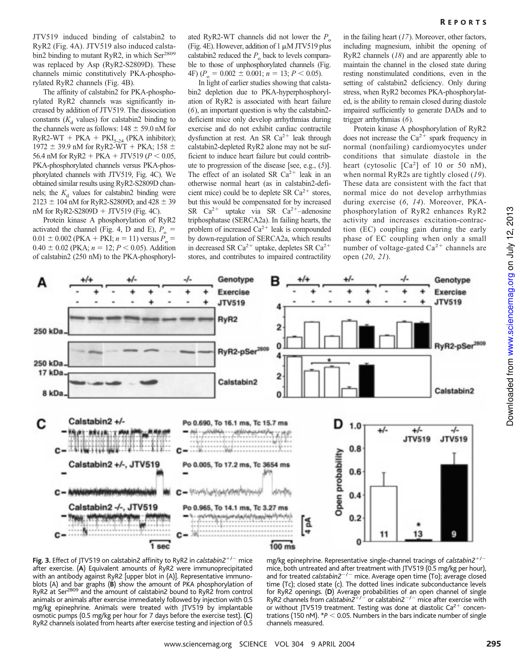JTV519 induced binding of calstabin2 to RyR2 (Fig. 4A). JTV519 also induced calstabin2 binding to mutant RyR2, in which Ser<sup>2809</sup> was replaced by Asp (RyR2-S2809D). These channels mimic constitutively PKA-phosphorylated RyR2 channels (Fig. 4B).

The affinity of calstabin2 for PKA-phosphorylated RyR2 channels was significantly increased by addition of JTV519. The dissociation constants  $(K_d$  values) for calstabin2 binding to the channels were as follows:  $148 \pm 59.0$  nM for  $RyR2-WT + PKA + PKI_{5,24}$  (PKA inhibitor); 1972  $\pm$  39.9 nM for RyR2-WT + PKA; 158  $\pm$ 56.4 nM for RyR2 + PKA + JTV519 ( $P < 0.05$ , PKA-phosphorylated channels versus PKA-phosphorylated channels with JTV519, Fig. 4C). We obtained similar results using RyR2-S2809D channels; the  $K_d$  values for calstabin2 binding were  $2123 \pm 104$  nM for RyR2-S2809D; and 428  $\pm$  39 nM for RyR2-S2809D  $+$  JTV519 (Fig. 4C).

Protein kinase A phosphorylation of RyR2 activated the channel (Fig. 4, D and E),  $P_{o} =$  $0.01 \pm 0.002$  (PKA + PKI;  $n = 11$ ) versus  $P_0 =$  $0.40 \pm 0.02$  (PKA;  $n = 12$ ;  $P < 0.05$ ). Addition of calstabin2 (250 nM) to the PKA-phosphoryl-

ated RyR2-WT channels did not lower the  $P_{\circ}$ (Fig. 4E). However, addition of 1  $\mu$ M JTV519 plus calstabin2 reduced the  $P_0$  back to levels comparable to those of unphosphorylated channels (Fig.  $4F$ )  $(P_0 = 0.002 \pm 0.001; n = 13; P < 0.05)$ .

In light of earlier studies showing that calstabin2 depletion due to PKA-hyperphosphorylation of RyR2 is associated with heart failure (*6*), an important question is why the calstabin2 deficient mice only develop arrhythmias during exercise and do not exhibit cardiac contractile dysfunction at rest. An SR Ca<sup>2+</sup> leak through calstabin2-depleted RyR2 alone may not be sufficient to induce heart failure but could contribute to progression of the disease [see, e.g., (*5*)]. The effect of an isolated SR  $Ca^{2+}$  leak in an otherwise normal heart (as in calstabin2-deficient mice) could be to deplete SR  $Ca^{2+}$  stores, but this would be compensated for by increased SR  $Ca^{2+}$  uptake via SR  $Ca^{2+}-$ adenosine triphosphatase (SERCA2a). In failing hearts, the problem of increased  $Ca^{2+}$  leak is compounded by down-regulation of SERCA2a, which results in decreased SR Ca<sup>2+</sup> uptake, depletes SR Ca<sup>2+</sup> stores, and contributes to impaired contractility

in the failing heart (*17*). Moreover, other factors, including magnesium, inhibit the opening of RyR2 channels (*18*) and are apparently able to maintain the channel in the closed state during resting nonstimulated conditions, even in the setting of calstabin2 deficiency. Only during stress, when RyR2 becomes PKA-phosphorylated, is the ability to remain closed during diastole impaired sufficiently to generate DADs and to trigger arrhythmias (*6*).

Protein kinase A phosphorylation of RyR2 does not increase the  $Ca^{2+}$  spark frequency in normal (nonfailing) cardiomyocytes under conditions that simulate diastole in the heart (cytosolic  $[Ca<sup>2</sup>]$  of 10 or 50 nM), when normal RyR2s are tightly closed (*19*). These data are consistent with the fact that normal mice do not develop arrhythmias during exercise (*6*, *14*). Moreover, PKAphosphorylation of RyR2 enhances RyR2 activity and increases excitation-contraction (EC) coupling gain during the early phase of EC coupling when only a small number of voltage-gated  $Ca^{2+}$  channels are open (*20*, *21*).





mg/kg epinephrine. Representative single-channel tracings of *calstabin2<sup>+/-</sup>* mice, both untreated and after treatment with JTV519 (0.5 mg/kg per hour), and for treated *calstabin2<sup>-/-</sup>* mice. Average open time (To); average closed time (Tc); closed state (c). The dotted lines indicate subconductance levels for RyR2 openings. **(D)** Average probabilities of an open channel of single<br>RyR2 channels from *calstabin2<sup>+/ –</sup>* or calstabin2<sup>–/ –</sup> mice after exercise with or without JTV519 treatment. Testing was done at diastolic  $Ca^{2+}$  concentrations (150 nM).  $*P < 0.05$ . Numbers in the bars indicate number of single channels measured.